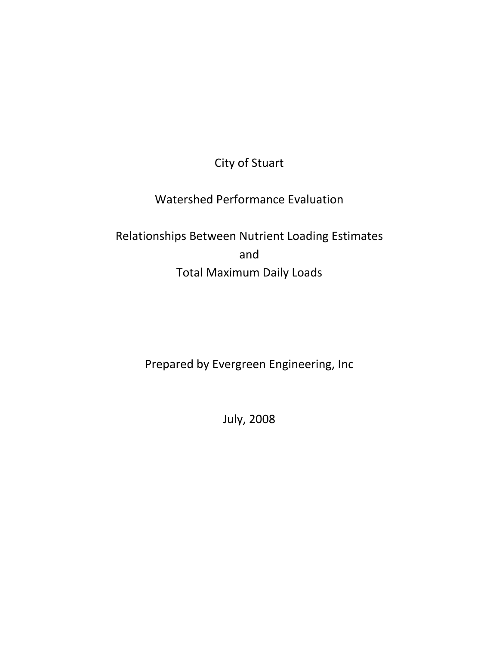City of Stuart

Watershed Performance Evaluation

Relationships Between Nutrient Loading Estimates and Total Maximum Daily Loads

Prepared by Evergreen Engineering, Inc

July, 2008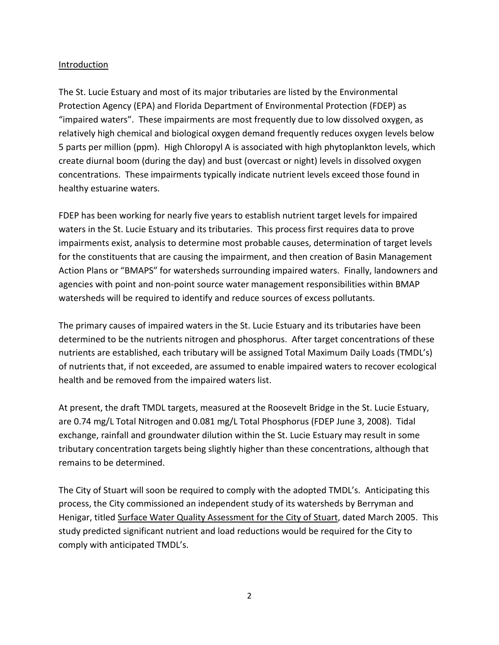## Introduction

The St. Lucie Estuary and most of its major tributaries are listed by the Environmental Protection Agency (EPA) and Florida Department of Environmental Protection (FDEP) as "impaired waters". These impairments are most frequently due to low dissolved oxygen, as relatively high chemical and biological oxygen demand frequently reduces oxygen levels below 5 parts per million (ppm). High Chloropyl A is associated with high phytoplankton levels, which create diurnal boom (during the day) and bust (overcast or night) levels in dissolved oxygen concentrations. These impairments typically indicate nutrient levels exceed those found in healthy estuarine waters.

FDEP has been working for nearly five years to establish nutrient target levels for impaired waters in the St. Lucie Estuary and its tributaries. This process first requires data to prove impairments exist, analysis to determine most probable causes, determination of target levels for the constituents that are causing the impairment, and then creation of Basin Management Action Plans or "BMAPS" for watersheds surrounding impaired waters. Finally, landowners and agencies with point and non-point source water management responsibilities within BMAP watersheds will be required to identify and reduce sources of excess pollutants.

The primary causes of impaired waters in the St. Lucie Estuary and its tributaries have been determined to be the nutrients nitrogen and phosphorus. After target concentrations of these nutrients are established, each tributary will be assigned Total Maximum Daily Loads (TMDL's) of nutrients that, if not exceeded, are assumed to enable impaired waters to recover ecological health and be removed from the impaired waters list.

At present, the draft TMDL targets, measured at the Roosevelt Bridge in the St. Lucie Estuary, are 0.74 mg/L Total Nitrogen and 0.081 mg/L Total Phosphorus (FDEP June 3, 2008). Tidal exchange, rainfall and groundwater dilution within the St. Lucie Estuary may result in some tributary concentration targets being slightly higher than these concentrations, although that remains to be determined.

The City of Stuart will soon be required to comply with the adopted TMDL's. Anticipating this process, the City commissioned an independent study of its watersheds by Berryman and Henigar, titled Surface Water Quality Assessment for the City of Stuart, dated March 2005. This study predicted significant nutrient and load reductions would be required for the City to comply with anticipated TMDL's.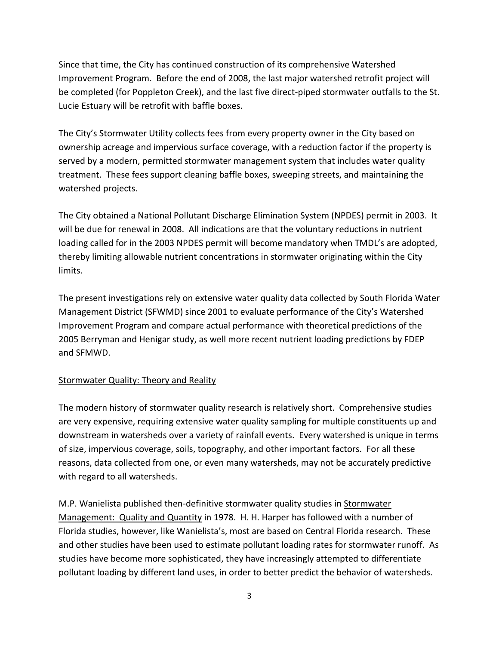Since that time, the City has continued construction of its comprehensive Watershed Improvement Program. Before the end of 2008, the last major watershed retrofit project will be completed (for Poppleton Creek), and the last five direct-piped stormwater outfalls to the St. Lucie Estuary will be retrofit with baffle boxes.

The City's Stormwater Utility collects fees from every property owner in the City based on ownership acreage and impervious surface coverage, with a reduction factor if the property is served by a modern, permitted stormwater management system that includes water quality treatment. These fees support cleaning baffle boxes, sweeping streets, and maintaining the watershed projects.

The City obtained a National Pollutant Discharge Elimination System (NPDES) permit in 2003. It will be due for renewal in 2008. All indications are that the voluntary reductions in nutrient loading called for in the 2003 NPDES permit will become mandatory when TMDL's are adopted, thereby limiting allowable nutrient concentrations in stormwater originating within the City limits.

The present investigations rely on extensive water quality data collected by South Florida Water Management District (SFWMD) since 2001 to evaluate performance of the City's Watershed Improvement Program and compare actual performance with theoretical predictions of the 2005 Berryman and Henigar study, as well more recent nutrient loading predictions by FDEP and SFMWD.

# Stormwater Quality: Theory and Reality

The modern history of stormwater quality research is relatively short. Comprehensive studies are very expensive, requiring extensive water quality sampling for multiple constituents up and downstream in watersheds over a variety of rainfall events. Every watershed is unique in terms of size, impervious coverage, soils, topography, and other important factors. For all these reasons, data collected from one, or even many watersheds, may not be accurately predictive with regard to all watersheds.

M.P. Wanielista published then-definitive stormwater quality studies in Stormwater Management: Quality and Quantity in 1978. H. H. Harper has followed with a number of Florida studies, however, like Wanielista's, most are based on Central Florida research. These and other studies have been used to estimate pollutant loading rates for stormwater runoff. As studies have become more sophisticated, they have increasingly attempted to differentiate pollutant loading by different land uses, in order to better predict the behavior of watersheds.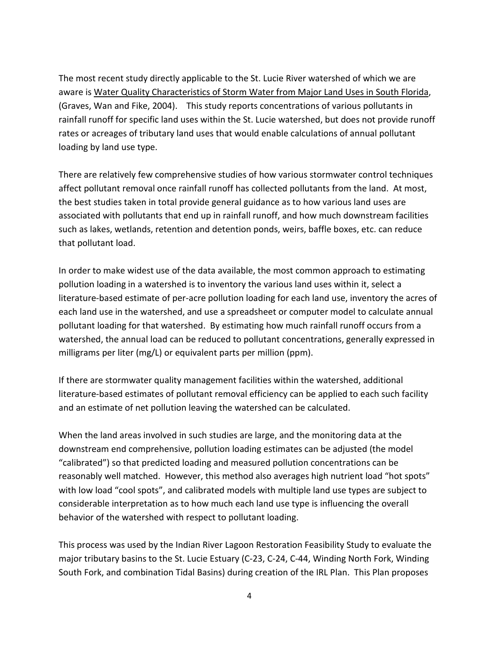The most recent study directly applicable to the St. Lucie River watershed of which we are aware is Water Quality Characteristics of Storm Water from Major Land Uses in South Florida, (Graves, Wan and Fike, 2004). This study reports concentrations of various pollutants in rainfall runoff for specific land uses within the St. Lucie watershed, but does not provide runoff rates or acreages of tributary land uses that would enable calculations of annual pollutant loading by land use type.

There are relatively few comprehensive studies of how various stormwater control techniques affect pollutant removal once rainfall runoff has collected pollutants from the land. At most, the best studies taken in total provide general guidance as to how various land uses are associated with pollutants that end up in rainfall runoff, and how much downstream facilities such as lakes, wetlands, retention and detention ponds, weirs, baffle boxes, etc. can reduce that pollutant load.

In order to make widest use of the data available, the most common approach to estimating pollution loading in a watershed is to inventory the various land uses within it, select a literature-based estimate of per-acre pollution loading for each land use, inventory the acres of each land use in the watershed, and use a spreadsheet or computer model to calculate annual pollutant loading for that watershed. By estimating how much rainfall runoff occurs from a watershed, the annual load can be reduced to pollutant concentrations, generally expressed in milligrams per liter (mg/L) or equivalent parts per million (ppm).

If there are stormwater quality management facilities within the watershed, additional literature-based estimates of pollutant removal efficiency can be applied to each such facility and an estimate of net pollution leaving the watershed can be calculated.

When the land areas involved in such studies are large, and the monitoring data at the downstream end comprehensive, pollution loading estimates can be adjusted (the model "calibrated") so that predicted loading and measured pollution concentrations can be reasonably well matched. However, this method also averages high nutrient load "hot spots" with low load "cool spots", and calibrated models with multiple land use types are subject to considerable interpretation as to how much each land use type is influencing the overall behavior of the watershed with respect to pollutant loading.

This process was used by the Indian River Lagoon Restoration Feasibility Study to evaluate the major tributary basins to the St. Lucie Estuary (C-23, C-24, C-44, Winding North Fork, Winding South Fork, and combination Tidal Basins) during creation of the IRL Plan. This Plan proposes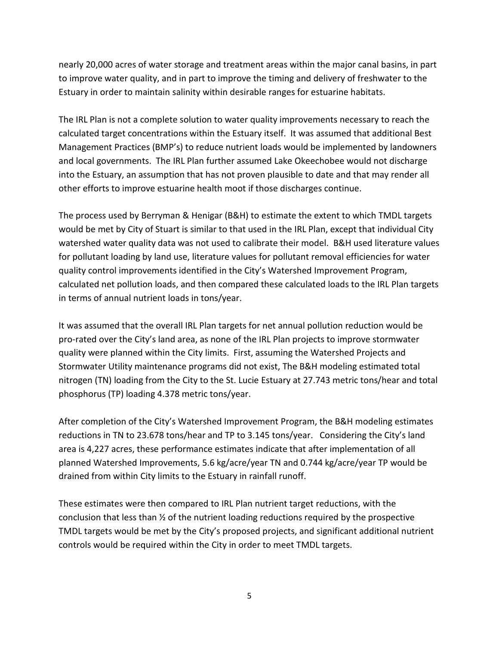nearly 20,000 acres of water storage and treatment areas within the major canal basins, in part to improve water quality, and in part to improve the timing and delivery of freshwater to the Estuary in order to maintain salinity within desirable ranges for estuarine habitats.

The IRL Plan is not a complete solution to water quality improvements necessary to reach the calculated target concentrations within the Estuary itself. It was assumed that additional Best Management Practices (BMP's) to reduce nutrient loads would be implemented by landowners and local governments. The IRL Plan further assumed Lake Okeechobee would not discharge into the Estuary, an assumption that has not proven plausible to date and that may render all other efforts to improve estuarine health moot if those discharges continue.

The process used by Berryman & Henigar (B&H) to estimate the extent to which TMDL targets would be met by City of Stuart is similar to that used in the IRL Plan, except that individual City watershed water quality data was not used to calibrate their model. B&H used literature values for pollutant loading by land use, literature values for pollutant removal efficiencies for water quality control improvements identified in the City's Watershed Improvement Program, calculated net pollution loads, and then compared these calculated loads to the IRL Plan targets in terms of annual nutrient loads in tons/year.

It was assumed that the overall IRL Plan targets for net annual pollution reduction would be pro-rated over the City's land area, as none of the IRL Plan projects to improve stormwater quality were planned within the City limits. First, assuming the Watershed Projects and Stormwater Utility maintenance programs did not exist, The B&H modeling estimated total nitrogen (TN) loading from the City to the St. Lucie Estuary at 27.743 metric tons/hear and total phosphorus (TP) loading 4.378 metric tons/year.

After completion of the City's Watershed Improvement Program, the B&H modeling estimates reductions in TN to 23.678 tons/hear and TP to 3.145 tons/year. Considering the City's land area is 4,227 acres, these performance estimates indicate that after implementation of all planned Watershed Improvements, 5.6 kg/acre/year TN and 0.744 kg/acre/year TP would be drained from within City limits to the Estuary in rainfall runoff.

These estimates were then compared to IRL Plan nutrient target reductions, with the conclusion that less than ½ of the nutrient loading reductions required by the prospective TMDL targets would be met by the City's proposed projects, and significant additional nutrient controls would be required within the City in order to meet TMDL targets.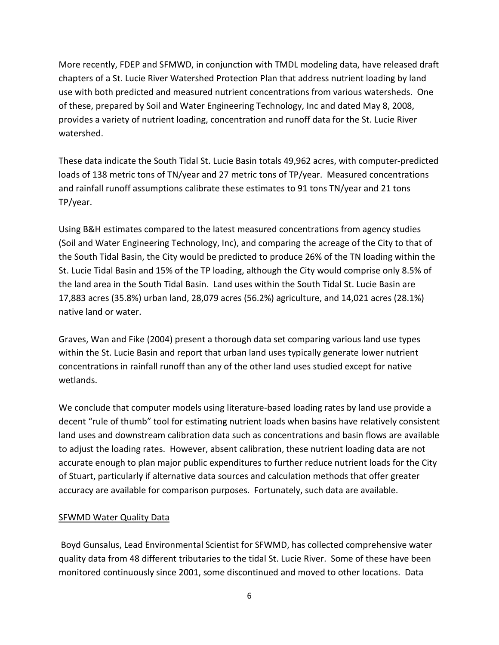More recently, FDEP and SFMWD, in conjunction with TMDL modeling data, have released draft chapters of a St. Lucie River Watershed Protection Plan that address nutrient loading by land use with both predicted and measured nutrient concentrations from various watersheds. One of these, prepared by Soil and Water Engineering Technology, Inc and dated May 8, 2008, provides a variety of nutrient loading, concentration and runoff data for the St. Lucie River watershed.

These data indicate the South Tidal St. Lucie Basin totals 49,962 acres, with computer-predicted loads of 138 metric tons of TN/year and 27 metric tons of TP/year. Measured concentrations and rainfall runoff assumptions calibrate these estimates to 91 tons TN/year and 21 tons TP/year.

Using B&H estimates compared to the latest measured concentrations from agency studies (Soil and Water Engineering Technology, Inc), and comparing the acreage of the City to that of the South Tidal Basin, the City would be predicted to produce 26% of the TN loading within the St. Lucie Tidal Basin and 15% of the TP loading, although the City would comprise only 8.5% of the land area in the South Tidal Basin. Land uses within the South Tidal St. Lucie Basin are 17,883 acres (35.8%) urban land, 28,079 acres (56.2%) agriculture, and 14,021 acres (28.1%) native land or water.

Graves, Wan and Fike (2004) present a thorough data set comparing various land use types within the St. Lucie Basin and report that urban land uses typically generate lower nutrient concentrations in rainfall runoff than any of the other land uses studied except for native wetlands.

We conclude that computer models using literature-based loading rates by land use provide a decent "rule of thumb" tool for estimating nutrient loads when basins have relatively consistent land uses and downstream calibration data such as concentrations and basin flows are available to adjust the loading rates. However, absent calibration, these nutrient loading data are not accurate enough to plan major public expenditures to further reduce nutrient loads for the City of Stuart, particularly if alternative data sources and calculation methods that offer greater accuracy are available for comparison purposes. Fortunately, such data are available.

## SFWMD Water Quality Data

Boyd Gunsalus, Lead Environmental Scientist for SFWMD, has collected comprehensive water quality data from 48 different tributaries to the tidal St. Lucie River. Some of these have been monitored continuously since 2001, some discontinued and moved to other locations. Data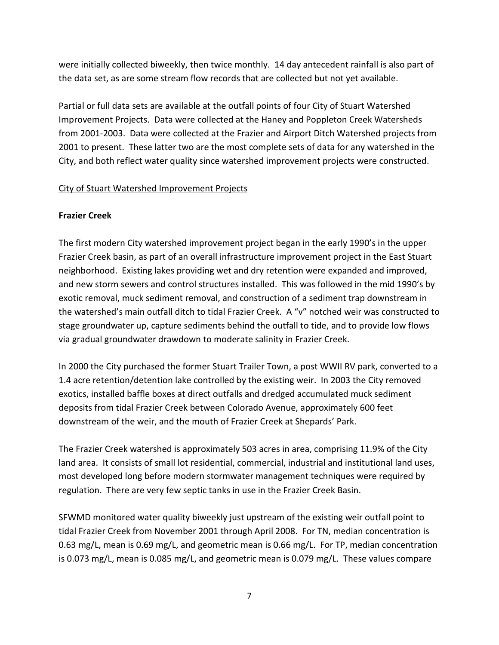were initially collected biweekly, then twice monthly. 14 day antecedent rainfall is also part of the data set, as are some stream flow records that are collected but not yet available.

Partial or full data sets are available at the outfall points of four City of Stuart Watershed Improvement Projects. Data were collected at the Haney and Poppleton Creek Watersheds from 2001-2003. Data were collected at the Frazier and Airport Ditch Watershed projects from 2001 to present. These latter two are the most complete sets of data for any watershed in the City, and both reflect water quality since watershed improvement projects were constructed.

## City of Stuart Watershed Improvement Projects

### **Frazier Creek**

The first modern City watershed improvement project began in the early 1990's in the upper Frazier Creek basin, as part of an overall infrastructure improvement project in the East Stuart neighborhood. Existing lakes providing wet and dry retention were expanded and improved, and new storm sewers and control structures installed. This was followed in the mid 1990's by exotic removal, muck sediment removal, and construction of a sediment trap downstream in the watershed's main outfall ditch to tidal Frazier Creek. A "v" notched weir was constructed to stage groundwater up, capture sediments behind the outfall to tide, and to provide low flows via gradual groundwater drawdown to moderate salinity in Frazier Creek.

In 2000 the City purchased the former Stuart Trailer Town, a post WWII RV park, converted to a 1.4 acre retention/detention lake controlled by the existing weir. In 2003 the City removed exotics, installed baffle boxes at direct outfalls and dredged accumulated muck sediment deposits from tidal Frazier Creek between Colorado Avenue, approximately 600 feet downstream of the weir, and the mouth of Frazier Creek at Shepards' Park.

The Frazier Creek watershed is approximately 503 acres in area, comprising 11.9% of the City land area. It consists of small lot residential, commercial, industrial and institutional land uses, most developed long before modern stormwater management techniques were required by regulation. There are very few septic tanks in use in the Frazier Creek Basin.

SFWMD monitored water quality biweekly just upstream of the existing weir outfall point to tidal Frazier Creek from November 2001 through April 2008. For TN, median concentration is 0.63 mg/L, mean is 0.69 mg/L, and geometric mean is 0.66 mg/L. For TP, median concentration is 0.073 mg/L, mean is 0.085 mg/L, and geometric mean is 0.079 mg/L. These values compare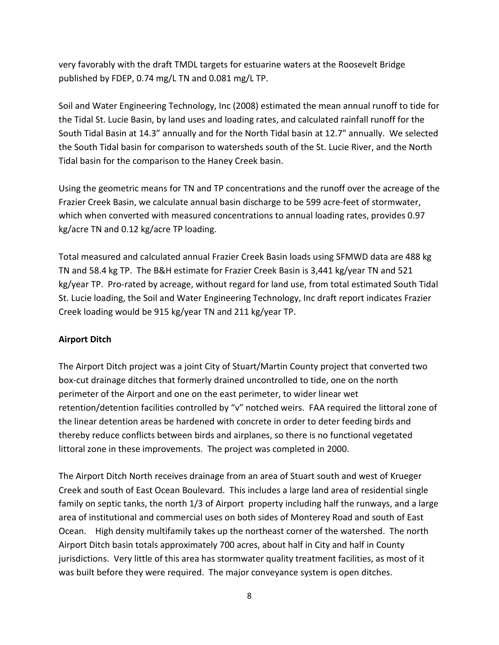very favorably with the draft TMDL targets for estuarine waters at the Roosevelt Bridge published by FDEP, 0.74 mg/L TN and 0.081 mg/L TP.

Soil and Water Engineering Technology, Inc (2008) estimated the mean annual runoff to tide for the Tidal St. Lucie Basin, by land uses and loading rates, and calculated rainfall runoff for the South Tidal Basin at 14.3" annually and for the North Tidal basin at 12.7" annually. We selected the South Tidal basin for comparison to watersheds south of the St. Lucie River, and the North Tidal basin for the comparison to the Haney Creek basin.

Using the geometric means for TN and TP concentrations and the runoff over the acreage of the Frazier Creek Basin, we calculate annual basin discharge to be 599 acre-feet of stormwater, which when converted with measured concentrations to annual loading rates, provides 0.97 kg/acre TN and 0.12 kg/acre TP loading.

Total measured and calculated annual Frazier Creek Basin loads using SFMWD data are 488 kg TN and 58.4 kg TP. The B&H estimate for Frazier Creek Basin is 3,441 kg/year TN and 521 kg/year TP. Pro-rated by acreage, without regard for land use, from total estimated South Tidal St. Lucie loading, the Soil and Water Engineering Technology, Inc draft report indicates Frazier Creek loading would be 915 kg/year TN and 211 kg/year TP.

# **Airport Ditch**

The Airport Ditch project was a joint City of Stuart/Martin County project that converted two box-cut drainage ditches that formerly drained uncontrolled to tide, one on the north perimeter of the Airport and one on the east perimeter, to wider linear wet retention/detention facilities controlled by "v" notched weirs. FAA required the littoral zone of the linear detention areas be hardened with concrete in order to deter feeding birds and thereby reduce conflicts between birds and airplanes, so there is no functional vegetated littoral zone in these improvements. The project was completed in 2000.

The Airport Ditch North receives drainage from an area of Stuart south and west of Krueger Creek and south of East Ocean Boulevard. This includes a large land area of residential single family on septic tanks, the north 1/3 of Airport property including half the runways, and a large area of institutional and commercial uses on both sides of Monterey Road and south of East Ocean. High density multifamily takes up the northeast corner of the watershed. The north Airport Ditch basin totals approximately 700 acres, about half in City and half in County jurisdictions. Very little of this area has stormwater quality treatment facilities, as most of it was built before they were required. The major conveyance system is open ditches.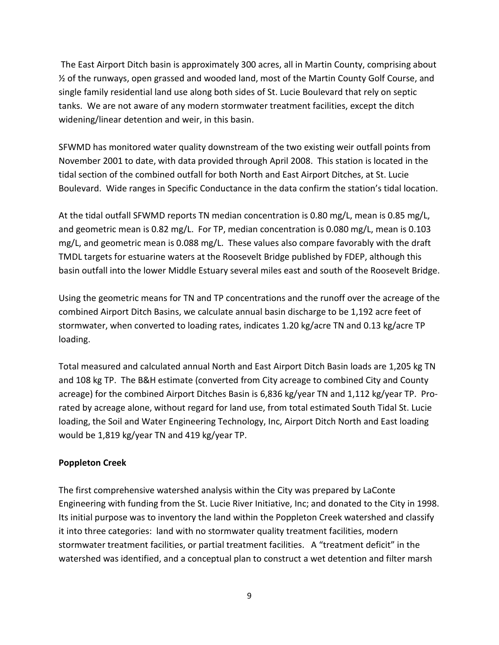The East Airport Ditch basin is approximately 300 acres, all in Martin County, comprising about ½ of the runways, open grassed and wooded land, most of the Martin County Golf Course, and single family residential land use along both sides of St. Lucie Boulevard that rely on septic tanks. We are not aware of any modern stormwater treatment facilities, except the ditch widening/linear detention and weir, in this basin.

SFWMD has monitored water quality downstream of the two existing weir outfall points from November 2001 to date, with data provided through April 2008. This station is located in the tidal section of the combined outfall for both North and East Airport Ditches, at St. Lucie Boulevard. Wide ranges in Specific Conductance in the data confirm the station's tidal location.

At the tidal outfall SFWMD reports TN median concentration is 0.80 mg/L, mean is 0.85 mg/L, and geometric mean is 0.82 mg/L. For TP, median concentration is 0.080 mg/L, mean is 0.103 mg/L, and geometric mean is 0.088 mg/L. These values also compare favorably with the draft TMDL targets for estuarine waters at the Roosevelt Bridge published by FDEP, although this basin outfall into the lower Middle Estuary several miles east and south of the Roosevelt Bridge.

Using the geometric means for TN and TP concentrations and the runoff over the acreage of the combined Airport Ditch Basins, we calculate annual basin discharge to be 1,192 acre feet of stormwater, when converted to loading rates, indicates 1.20 kg/acre TN and 0.13 kg/acre TP loading.

Total measured and calculated annual North and East Airport Ditch Basin loads are 1,205 kg TN and 108 kg TP. The B&H estimate (converted from City acreage to combined City and County acreage) for the combined Airport Ditches Basin is 6,836 kg/year TN and 1,112 kg/year TP. Prorated by acreage alone, without regard for land use, from total estimated South Tidal St. Lucie loading, the Soil and Water Engineering Technology, Inc, Airport Ditch North and East loading would be 1,819 kg/year TN and 419 kg/year TP.

## **Poppleton Creek**

The first comprehensive watershed analysis within the City was prepared by LaConte Engineering with funding from the St. Lucie River Initiative, Inc; and donated to the City in 1998. Its initial purpose was to inventory the land within the Poppleton Creek watershed and classify it into three categories: land with no stormwater quality treatment facilities, modern stormwater treatment facilities, or partial treatment facilities. A "treatment deficit" in the watershed was identified, and a conceptual plan to construct a wet detention and filter marsh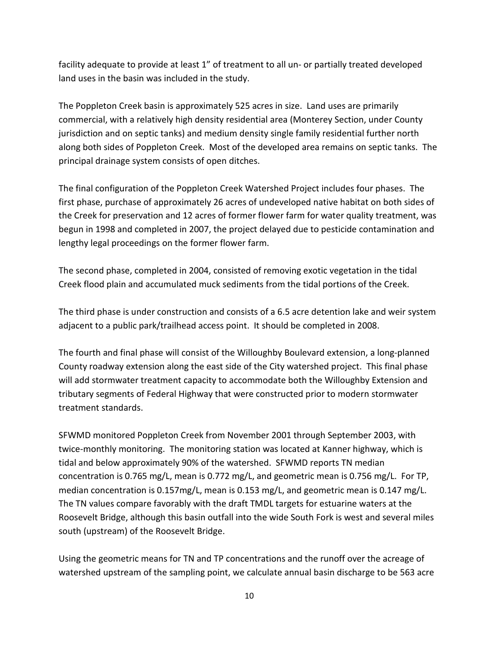facility adequate to provide at least 1" of treatment to all un- or partially treated developed land uses in the basin was included in the study.

The Poppleton Creek basin is approximately 525 acres in size. Land uses are primarily commercial, with a relatively high density residential area (Monterey Section, under County jurisdiction and on septic tanks) and medium density single family residential further north along both sides of Poppleton Creek. Most of the developed area remains on septic tanks. The principal drainage system consists of open ditches.

The final configuration of the Poppleton Creek Watershed Project includes four phases. The first phase, purchase of approximately 26 acres of undeveloped native habitat on both sides of the Creek for preservation and 12 acres of former flower farm for water quality treatment, was begun in 1998 and completed in 2007, the project delayed due to pesticide contamination and lengthy legal proceedings on the former flower farm.

The second phase, completed in 2004, consisted of removing exotic vegetation in the tidal Creek flood plain and accumulated muck sediments from the tidal portions of the Creek.

The third phase is under construction and consists of a 6.5 acre detention lake and weir system adjacent to a public park/trailhead access point. It should be completed in 2008.

The fourth and final phase will consist of the Willoughby Boulevard extension, a long-planned County roadway extension along the east side of the City watershed project. This final phase will add stormwater treatment capacity to accommodate both the Willoughby Extension and tributary segments of Federal Highway that were constructed prior to modern stormwater treatment standards.

SFWMD monitored Poppleton Creek from November 2001 through September 2003, with twice-monthly monitoring. The monitoring station was located at Kanner highway, which is tidal and below approximately 90% of the watershed. SFWMD reports TN median concentration is 0.765 mg/L, mean is 0.772 mg/L, and geometric mean is 0.756 mg/L. For TP, median concentration is 0.157mg/L, mean is 0.153 mg/L, and geometric mean is 0.147 mg/L. The TN values compare favorably with the draft TMDL targets for estuarine waters at the Roosevelt Bridge, although this basin outfall into the wide South Fork is west and several miles south (upstream) of the Roosevelt Bridge.

Using the geometric means for TN and TP concentrations and the runoff over the acreage of watershed upstream of the sampling point, we calculate annual basin discharge to be 563 acre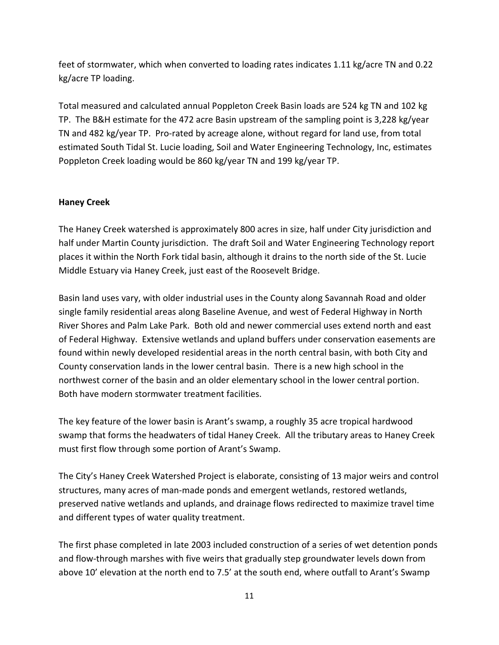feet of stormwater, which when converted to loading rates indicates 1.11 kg/acre TN and 0.22 kg/acre TP loading.

Total measured and calculated annual Poppleton Creek Basin loads are 524 kg TN and 102 kg TP. The B&H estimate for the 472 acre Basin upstream of the sampling point is 3,228 kg/year TN and 482 kg/year TP. Pro-rated by acreage alone, without regard for land use, from total estimated South Tidal St. Lucie loading, Soil and Water Engineering Technology, Inc, estimates Poppleton Creek loading would be 860 kg/year TN and 199 kg/year TP.

## **Haney Creek**

The Haney Creek watershed is approximately 800 acres in size, half under City jurisdiction and half under Martin County jurisdiction. The draft Soil and Water Engineering Technology report places it within the North Fork tidal basin, although it drains to the north side of the St. Lucie Middle Estuary via Haney Creek, just east of the Roosevelt Bridge.

Basin land uses vary, with older industrial uses in the County along Savannah Road and older single family residential areas along Baseline Avenue, and west of Federal Highway in North River Shores and Palm Lake Park. Both old and newer commercial uses extend north and east of Federal Highway. Extensive wetlands and upland buffers under conservation easements are found within newly developed residential areas in the north central basin, with both City and County conservation lands in the lower central basin. There is a new high school in the northwest corner of the basin and an older elementary school in the lower central portion. Both have modern stormwater treatment facilities.

The key feature of the lower basin is Arant's swamp, a roughly 35 acre tropical hardwood swamp that forms the headwaters of tidal Haney Creek. All the tributary areas to Haney Creek must first flow through some portion of Arant's Swamp.

The City's Haney Creek Watershed Project is elaborate, consisting of 13 major weirs and control structures, many acres of man-made ponds and emergent wetlands, restored wetlands, preserved native wetlands and uplands, and drainage flows redirected to maximize travel time and different types of water quality treatment.

The first phase completed in late 2003 included construction of a series of wet detention ponds and flow-through marshes with five weirs that gradually step groundwater levels down from above 10' elevation at the north end to 7.5' at the south end, where outfall to Arant's Swamp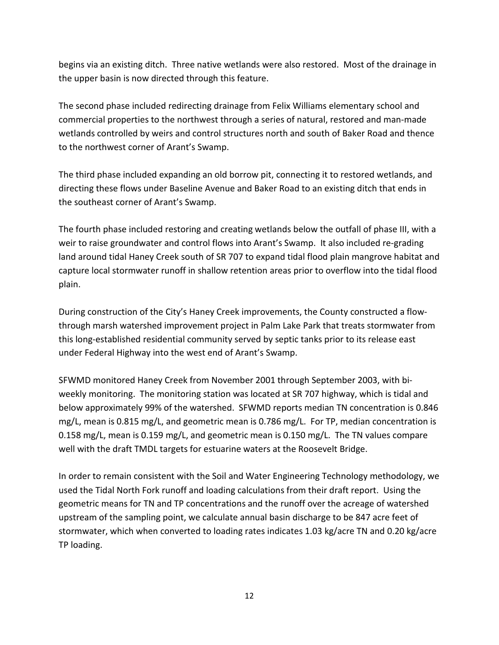begins via an existing ditch. Three native wetlands were also restored. Most of the drainage in the upper basin is now directed through this feature.

The second phase included redirecting drainage from Felix Williams elementary school and commercial properties to the northwest through a series of natural, restored and man-made wetlands controlled by weirs and control structures north and south of Baker Road and thence to the northwest corner of Arant's Swamp.

The third phase included expanding an old borrow pit, connecting it to restored wetlands, and directing these flows under Baseline Avenue and Baker Road to an existing ditch that ends in the southeast corner of Arant's Swamp.

The fourth phase included restoring and creating wetlands below the outfall of phase III, with a weir to raise groundwater and control flows into Arant's Swamp. It also included re-grading land around tidal Haney Creek south of SR 707 to expand tidal flood plain mangrove habitat and capture local stormwater runoff in shallow retention areas prior to overflow into the tidal flood plain.

During construction of the City's Haney Creek improvements, the County constructed a flowthrough marsh watershed improvement project in Palm Lake Park that treats stormwater from this long-established residential community served by septic tanks prior to its release east under Federal Highway into the west end of Arant's Swamp.

SFWMD monitored Haney Creek from November 2001 through September 2003, with biweekly monitoring. The monitoring station was located at SR 707 highway, which is tidal and below approximately 99% of the watershed. SFWMD reports median TN concentration is 0.846 mg/L, mean is 0.815 mg/L, and geometric mean is 0.786 mg/L. For TP, median concentration is 0.158 mg/L, mean is 0.159 mg/L, and geometric mean is 0.150 mg/L. The TN values compare well with the draft TMDL targets for estuarine waters at the Roosevelt Bridge.

In order to remain consistent with the Soil and Water Engineering Technology methodology, we used the Tidal North Fork runoff and loading calculations from their draft report. Using the geometric means for TN and TP concentrations and the runoff over the acreage of watershed upstream of the sampling point, we calculate annual basin discharge to be 847 acre feet of stormwater, which when converted to loading rates indicates 1.03 kg/acre TN and 0.20 kg/acre TP loading.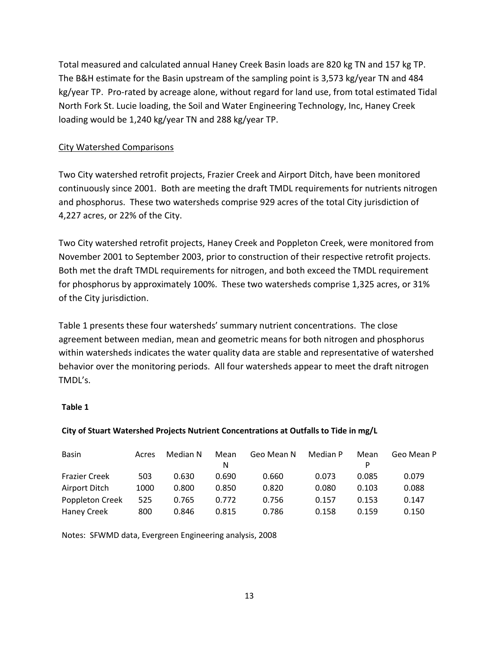Total measured and calculated annual Haney Creek Basin loads are 820 kg TN and 157 kg TP. The B&H estimate for the Basin upstream of the sampling point is 3,573 kg/year TN and 484 kg/year TP. Pro-rated by acreage alone, without regard for land use, from total estimated Tidal North Fork St. Lucie loading, the Soil and Water Engineering Technology, Inc, Haney Creek loading would be 1,240 kg/year TN and 288 kg/year TP.

## City Watershed Comparisons

Two City watershed retrofit projects, Frazier Creek and Airport Ditch, have been monitored continuously since 2001. Both are meeting the draft TMDL requirements for nutrients nitrogen and phosphorus. These two watersheds comprise 929 acres of the total City jurisdiction of 4,227 acres, or 22% of the City.

Two City watershed retrofit projects, Haney Creek and Poppleton Creek, were monitored from November 2001 to September 2003, prior to construction of their respective retrofit projects. Both met the draft TMDL requirements for nitrogen, and both exceed the TMDL requirement for phosphorus by approximately 100%. These two watersheds comprise 1,325 acres, or 31% of the City jurisdiction.

Table 1 presents these four watersheds' summary nutrient concentrations. The close agreement between median, mean and geometric means for both nitrogen and phosphorus within watersheds indicates the water quality data are stable and representative of watershed behavior over the monitoring periods. All four watersheds appear to meet the draft nitrogen TMDL's.

## **Table 1**

## **City of Stuart Watershed Projects Nutrient Concentrations at Outfalls to Tide in mg/L**

| <b>Basin</b>         | Acres | Median N | Mean  | Geo Mean N | Median P | Mean  | Geo Mean P |
|----------------------|-------|----------|-------|------------|----------|-------|------------|
|                      |       |          | N     |            |          |       |            |
| <b>Frazier Creek</b> | 503   | 0.630    | 0.690 | 0.660      | 0.073    | 0.085 | 0.079      |
| Airport Ditch        | 1000  | 0.800    | 0.850 | 0.820      | 0.080    | 0.103 | 0.088      |
| Poppleton Creek      | 525   | 0.765    | 0.772 | 0.756      | 0.157    | 0.153 | 0.147      |
| <b>Haney Creek</b>   | 800   | 0.846    | 0.815 | 0.786      | 0.158    | 0.159 | 0.150      |

Notes: SFWMD data, Evergreen Engineering analysis, 2008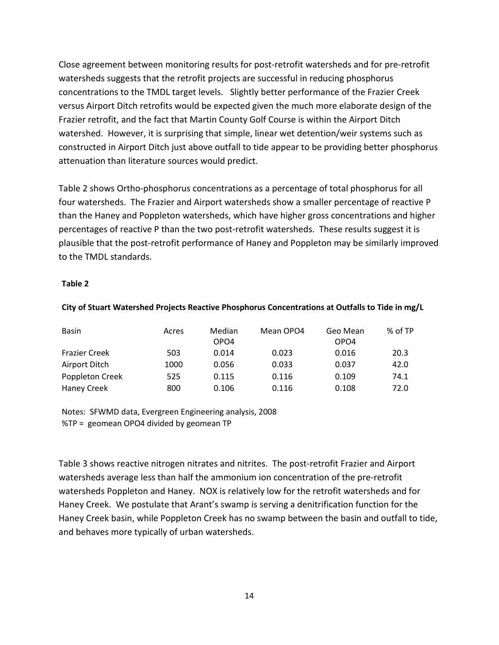Close agreement between monitoring results for post-retrofit watersheds and for pre-retrofit watersheds suggests that the retrofit projects are successful in reducing phosphorus concentrations to the TMDL target levels. Slightly better performance of the Frazier Creek versus Airport Ditch retrofits would be expected given the much more elaborate design of the Frazier retrofit, and the fact that Martin County Golf Course is within the Airport Ditch watershed. However, it is surprising that simple, linear wet detention/weir systems such as constructed in Airport Ditch just above outfall to tide appear to be providing better phosphorus attenuation than literature sources would predict.

Table 2 shows Ortho-phosphorus concentrations as a percentage of total phosphorus for all four watersheds. The Frazier and Airport watersheds show a smaller percentage of reactive P than the Haney and Poppleton watersheds, which have higher gross concentrations and higher percentages of reactive P than the two post-retrofit watersheds. These results suggest it is plausible that the post-retrofit performance of Haney and Poppleton may be similarly improved to the TMDL standards.

#### **Table 2**

#### **City of Stuart Watershed Projects Reactive Phosphorus Concentrations at Outfalls to Tide in mg/L**

| <b>Basin</b>         | Acres | Median | Mean OPO4 | Geo Mean | % of TP |
|----------------------|-------|--------|-----------|----------|---------|
|                      |       | OPO4   |           | OPO4     |         |
| <b>Frazier Creek</b> | 503   | 0.014  | 0.023     | 0.016    | 20.3    |
| Airport Ditch        | 1000  | 0.056  | 0.033     | 0.037    | 42.0    |
| Poppleton Creek      | 525   | 0.115  | 0.116     | 0.109    | 74.1    |
| <b>Haney Creek</b>   | 800   | 0.106  | 0.116     | 0.108    | 72.0    |

Notes: SFWMD data, Evergreen Engineering analysis, 2008 %TP = geomean OPO4 divided by geomean TP

Table 3 shows reactive nitrogen nitrates and nitrites. The post-retrofit Frazier and Airport watersheds average less than half the ammonium ion concentration of the pre-retrofit watersheds Poppleton and Haney. NOX is relatively low for the retrofit watersheds and for Haney Creek. We postulate that Arant's swamp is serving a denitrification function for the Haney Creek basin, while Poppleton Creek has no swamp between the basin and outfall to tide, and behaves more typically of urban watersheds.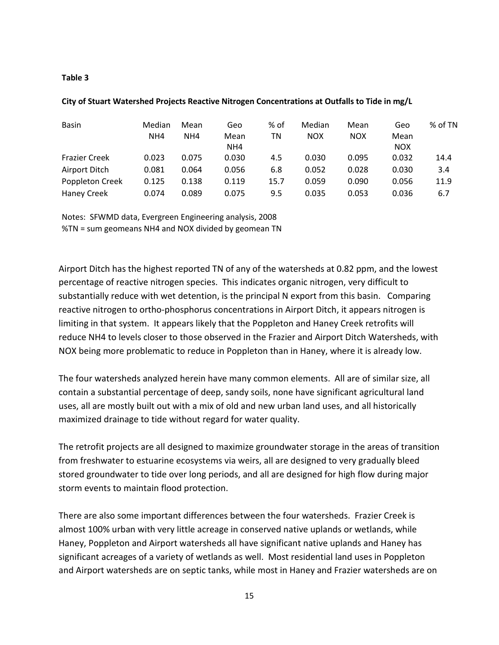#### **Table 3**

| <b>Basin</b>         | Median | Mean  | Geo   | % of | Median     | Mean       | Geo        | % of TN |
|----------------------|--------|-------|-------|------|------------|------------|------------|---------|
|                      | NH4    | NH4   | Mean  | ΤN   | <b>NOX</b> | <b>NOX</b> | Mean       |         |
|                      |        |       | NH4   |      |            |            | <b>NOX</b> |         |
| <b>Frazier Creek</b> | 0.023  | 0.075 | 0.030 | 4.5  | 0.030      | 0.095      | 0.032      | 14.4    |
| Airport Ditch        | 0.081  | 0.064 | 0.056 | 6.8  | 0.052      | 0.028      | 0.030      | 3.4     |
| Poppleton Creek      | 0.125  | 0.138 | 0.119 | 15.7 | 0.059      | 0.090      | 0.056      | 11.9    |
| <b>Haney Creek</b>   | 0.074  | 0.089 | 0.075 | 9.5  | 0.035      | 0.053      | 0.036      | 6.7     |

#### **City of Stuart Watershed Projects Reactive Nitrogen Concentrations at Outfalls to Tide in mg/L**

Notes: SFWMD data, Evergreen Engineering analysis, 2008 %TN = sum geomeans NH4 and NOX divided by geomean TN

Airport Ditch has the highest reported TN of any of the watersheds at 0.82 ppm, and the lowest percentage of reactive nitrogen species. This indicates organic nitrogen, very difficult to substantially reduce with wet detention, is the principal N export from this basin. Comparing reactive nitrogen to ortho-phosphorus concentrations in Airport Ditch, it appears nitrogen is limiting in that system. It appears likely that the Poppleton and Haney Creek retrofits will reduce NH4 to levels closer to those observed in the Frazier and Airport Ditch Watersheds, with NOX being more problematic to reduce in Poppleton than in Haney, where it is already low.

The four watersheds analyzed herein have many common elements. All are of similar size, all contain a substantial percentage of deep, sandy soils, none have significant agricultural land uses, all are mostly built out with a mix of old and new urban land uses, and all historically maximized drainage to tide without regard for water quality.

The retrofit projects are all designed to maximize groundwater storage in the areas of transition from freshwater to estuarine ecosystems via weirs, all are designed to very gradually bleed stored groundwater to tide over long periods, and all are designed for high flow during major storm events to maintain flood protection.

There are also some important differences between the four watersheds. Frazier Creek is almost 100% urban with very little acreage in conserved native uplands or wetlands, while Haney, Poppleton and Airport watersheds all have significant native uplands and Haney has significant acreages of a variety of wetlands as well. Most residential land uses in Poppleton and Airport watersheds are on septic tanks, while most in Haney and Frazier watersheds are on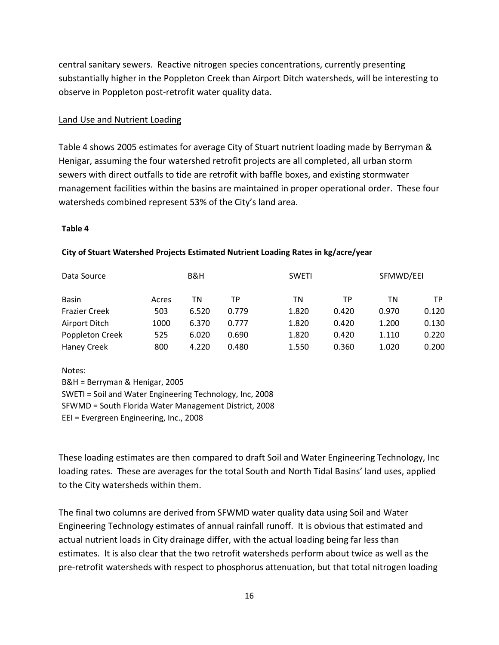central sanitary sewers. Reactive nitrogen species concentrations, currently presenting substantially higher in the Poppleton Creek than Airport Ditch watersheds, will be interesting to observe in Poppleton post-retrofit water quality data.

### Land Use and Nutrient Loading

Table 4 shows 2005 estimates for average City of Stuart nutrient loading made by Berryman & Henigar, assuming the four watershed retrofit projects are all completed, all urban storm sewers with direct outfalls to tide are retrofit with baffle boxes, and existing stormwater management facilities within the basins are maintained in proper operational order. These four watersheds combined represent 53% of the City's land area.

#### **Table 4**

| Data Source          |       | B&H   |       | <b>SWETI</b> | SFMWD/EEI |       |       |
|----------------------|-------|-------|-------|--------------|-----------|-------|-------|
| <b>Basin</b>         | Acres | ΤN    | ТP    | ΤN           | ТP        | ΤN    | ТP    |
| <b>Frazier Creek</b> | 503   | 6.520 | 0.779 | 1.820        | 0.420     | 0.970 | 0.120 |
| Airport Ditch        | 1000  | 6.370 | 0.777 | 1.820        | 0.420     | 1.200 | 0.130 |
| Poppleton Creek      | 525   | 6.020 | 0.690 | 1.820        | 0.420     | 1.110 | 0.220 |
| <b>Haney Creek</b>   | 800   | 4.220 | 0.480 | 1.550        | 0.360     | 1.020 | 0.200 |

#### **City of Stuart Watershed Projects Estimated Nutrient Loading Rates in kg/acre/year**

Notes:

B&H = Berryman & Henigar, 2005 SWETI = Soil and Water Engineering Technology, Inc, 2008 SFWMD = South Florida Water Management District, 2008 EEI = Evergreen Engineering, Inc., 2008

These loading estimates are then compared to draft Soil and Water Engineering Technology, Inc loading rates. These are averages for the total South and North Tidal Basins' land uses, applied to the City watersheds within them.

The final two columns are derived from SFWMD water quality data using Soil and Water Engineering Technology estimates of annual rainfall runoff. It is obvious that estimated and actual nutrient loads in City drainage differ, with the actual loading being far less than estimates. It is also clear that the two retrofit watersheds perform about twice as well as the pre-retrofit watersheds with respect to phosphorus attenuation, but that total nitrogen loading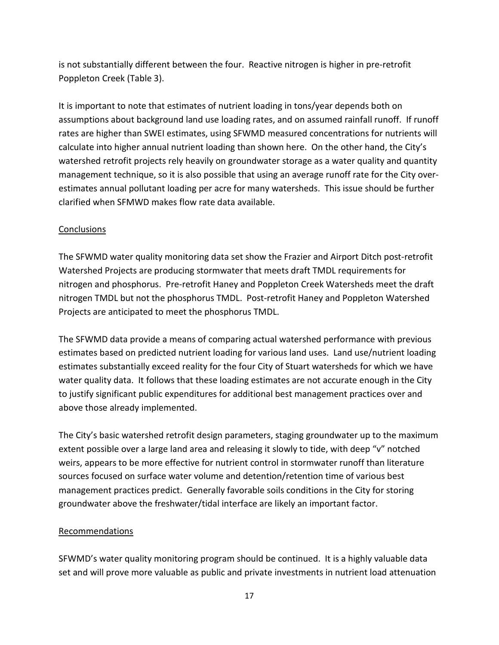is not substantially different between the four. Reactive nitrogen is higher in pre-retrofit Poppleton Creek (Table 3).

It is important to note that estimates of nutrient loading in tons/year depends both on assumptions about background land use loading rates, and on assumed rainfall runoff. If runoff rates are higher than SWEI estimates, using SFWMD measured concentrations for nutrients will calculate into higher annual nutrient loading than shown here. On the other hand, the City's watershed retrofit projects rely heavily on groundwater storage as a water quality and quantity management technique, so it is also possible that using an average runoff rate for the City overestimates annual pollutant loading per acre for many watersheds. This issue should be further clarified when SFMWD makes flow rate data available.

## **Conclusions**

The SFWMD water quality monitoring data set show the Frazier and Airport Ditch post-retrofit Watershed Projects are producing stormwater that meets draft TMDL requirements for nitrogen and phosphorus. Pre-retrofit Haney and Poppleton Creek Watersheds meet the draft nitrogen TMDL but not the phosphorus TMDL. Post-retrofit Haney and Poppleton Watershed Projects are anticipated to meet the phosphorus TMDL.

The SFWMD data provide a means of comparing actual watershed performance with previous estimates based on predicted nutrient loading for various land uses. Land use/nutrient loading estimates substantially exceed reality for the four City of Stuart watersheds for which we have water quality data. It follows that these loading estimates are not accurate enough in the City to justify significant public expenditures for additional best management practices over and above those already implemented.

The City's basic watershed retrofit design parameters, staging groundwater up to the maximum extent possible over a large land area and releasing it slowly to tide, with deep "v" notched weirs, appears to be more effective for nutrient control in stormwater runoff than literature sources focused on surface water volume and detention/retention time of various best management practices predict. Generally favorable soils conditions in the City for storing groundwater above the freshwater/tidal interface are likely an important factor.

## Recommendations

SFWMD's water quality monitoring program should be continued. It is a highly valuable data set and will prove more valuable as public and private investments in nutrient load attenuation